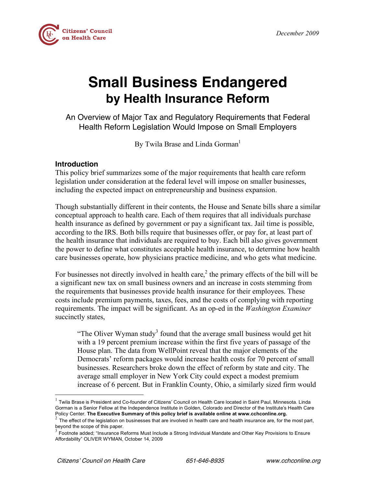

# **Small Business Endangered by Health Insurance Reform**

An Overview of Major Tax and Regulatory Requirements that Federal Health Reform Legislation Would Impose on Small Employers

By Twila Brase and Linda Gorman<sup>1</sup>

# **Introduction**

This policy brief summarizes some of the major requirements that health care reform legislation under consideration at the federal level will impose on smaller businesses, including the expected impact on entrepreneurship and business expansion.

Though substantially different in their contents, the House and Senate bills share a similar conceptual approach to health care. Each of them requires that all individuals purchase health insurance as defined by government or pay a significant tax. Jail time is possible, according to the IRS. Both bills require that businesses offer, or pay for, at least part of the health insurance that individuals are required to buy. Each bill also gives government the power to define what constitutes acceptable health insurance, to determine how health care businesses operate, how physicians practice medicine, and who gets what medicine.

For businesses not directly involved in health care,<sup>2</sup> the primary effects of the bill will be a significant new tax on small business owners and an increase in costs stemming from the requirements that businesses provide health insurance for their employees. These costs include premium payments, taxes, fees, and the costs of complying with reporting requirements. The impact will be significant. As an op-ed in the *Washington Examiner* succinctly states,

"The Oliver Wyman study<sup>3</sup> found that the average small business would get hit with a 19 percent premium increase within the first five years of passage of the House plan. The data from WellPoint reveal that the major elements of the Democrats' reform packages would increase health costs for 70 percent of small businesses. Researchers broke down the effect of reform by state and city. The average small employer in New York City could expect a modest premium increase of 6 percent. But in Franklin County, Ohio, a similarly sized firm would

 $1$  Twila Brase is President and Co-founder of Citizens' Council on Health Care located in Saint Paul, Minnesota. Linda Gorman is a Senior Fellow at the Independence Institute in Golden, Colorado and Director of the Institute's Health Care

Policy Center. The Executive Summary of this policy brief is available online at www.cchconline.org.<br>
<sup>2</sup> The effect of the legislation on businesses that are involved in health care and health insurance are, for the most

 $3$  Footnote added; "Insurance Reforms Must Include a Strong Individual Mandate and Other Key Provisions to Ensure Affordability" OLIVER WYMAN, October 14, 2009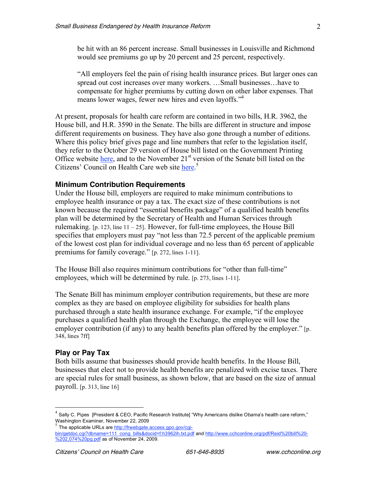be hit with an 86 percent increase. Small businesses in Louisville and Richmond would see premiums go up by 20 percent and 25 percent, respectively.

"All employers feel the pain of rising health insurance prices. But larger ones can spread out cost increases over many workers. …Small businesses…have to compensate for higher premiums by cutting down on other labor expenses. That means lower wages, fewer new hires and even layoffs."<sup>4</sup>

At present, proposals for health care reform are contained in two bills, H.R. 3962, the House bill, and H.R. 3590 in the Senate. The bills are different in structure and impose different requirements on business. They have also gone through a number of editions. Where this policy brief gives page and line numbers that refer to the legislation itself, they refer to the October 29 version of House bill listed on the Government Printing Office website here, and to the November 21<sup>st</sup> version of the Senate bill listed on the Citizens' Council on Health Care web site here.<sup>5</sup>

#### **Minimum Contribution Requirements**

Under the House bill, employers are required to make minimum contributions to employee health insurance or pay a tax. The exact size of these contributions is not known because the required "essential benefits package" of a qualified health benefits plan will be determined by the Secretary of Health and Human Services through rulemaking.  $[p. 123]$ , line  $11 - 25$ . However, for full-time employees, the House Bill specifies that employers must pay "not less than 72.5 percent of the applicable premium of the lowest cost plan for individual coverage and no less than 65 percent of applicable premiums for family coverage." [p. 272, lines 1-11].

The House Bill also requires minimum contributions for "other than full-time" employees, which will be determined by rule. [p. 273, lines 1-11].

The Senate Bill has minimum employer contribution requirements, but these are more complex as they are based on employee eligibility for subsidies for health plans purchased through a state health insurance exchange. For example, "if the employee purchases a qualified health plan through the Exchange, the employee will lose the employer contribution (if any) to any health benefits plan offered by the employer." [p. 348, lines 7ff]

#### **Play or Pay Tax**

Both bills assume that businesses should provide health benefits. In the House Bill, businesses that elect not to provide health benefits are penalized with excise taxes. There are special rules for small business, as shown below, that are based on the size of annual payroll. [p. 313, line 16]

 $^4$  Sally C. Pipes [President & CEO, Pacific Research Institute] "Why Americans dislike Obama's health care reform," Washington Examiner, November 22, 2009<br>  $5$  The applicable URLs are http://frwebgate.access.gpo.gov/cgi-

bin/getdoc.cgi?dbname=111\_cong\_bills&docid=f:h3962ih.txt.pdf and http://www.cchconline.org/pdf/Reid%20bill%20-%202,074%20pg.pdf as of November 24, 2009.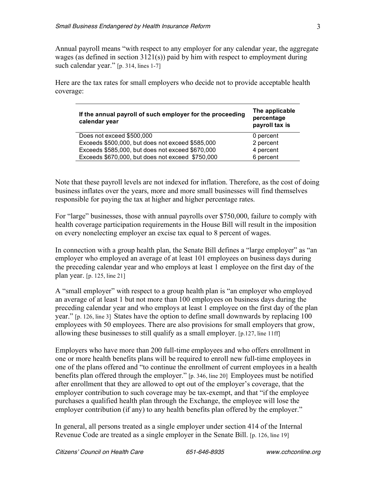Annual payroll means "with respect to any employer for any calendar year, the aggregate wages (as defined in section 3121(s)) paid by him with respect to employment during such calendar year." [p. 314, lines 1-7]

Here are the tax rates for small employers who decide not to provide acceptable health coverage:

| If the annual payroll of such employer for the proceeding<br>calendar year | The applicable<br>percentage<br>payroll tax is |  |
|----------------------------------------------------------------------------|------------------------------------------------|--|
| Does not exceed \$500,000                                                  | 0 percent                                      |  |
| Exceeds \$500,000, but does not exceed \$585,000                           | 2 percent                                      |  |
| Exceeds \$585,000, but does not exceed \$670,000                           | 4 percent                                      |  |
| Exceeds \$670,000, but does not exceed \$750,000                           | 6 percent                                      |  |

Note that these payroll levels are not indexed for inflation. Therefore, as the cost of doing business inflates over the years, more and more small businesses will find themselves responsible for paying the tax at higher and higher percentage rates.

For "large" businesses, those with annual payrolls over \$750,000, failure to comply with health coverage participation requirements in the House Bill will result in the imposition on every nonelecting employer an excise tax equal to 8 percent of wages.

In connection with a group health plan, the Senate Bill defines a "large employer" as "an employer who employed an average of at least 101 employees on business days during the preceding calendar year and who employs at least 1 employee on the first day of the plan year. [p. 125, line 21]

A "small employer" with respect to a group health plan is "an employer who employed an average of at least 1 but not more than 100 employees on business days during the preceding calendar year and who employs at least 1 employee on the first day of the plan year." [p. 126, line 3] States have the option to define small downwards by replacing 100 employees with 50 employees. There are also provisions for small employers that grow, allowing these businesses to still qualify as a small employer. [p.127, line 11ff]

Employers who have more than 200 full-time employees and who offers enrollment in one or more health benefits plans will be required to enroll new full-time employees in one of the plans offered and "to continue the enrollment of current employees in a health benefits plan offered through the employer." [p. 346, line 20] Employees must be notified after enrollment that they are allowed to opt out of the employer's coverage, that the employer contribution to such coverage may be tax-exempt, and that "if the employee purchases a qualified health plan through the Exchange, the employee will lose the employer contribution (if any) to any health benefits plan offered by the employer."

In general, all persons treated as a single employer under section 414 of the Internal Revenue Code are treated as a single employer in the Senate Bill. [p. 126, line 19]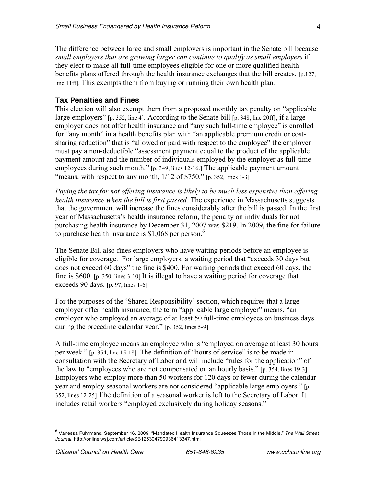The difference between large and small employers is important in the Senate bill because *small employers that are growing larger can continue to qualify as small employers* if they elect to make all full-time employees eligible for one or more qualified health benefits plans offered through the health insurance exchanges that the bill creates. [p.127, line 11ff]. This exempts them from buying or running their own health plan.

# **Tax Penalties and Fines**

This election will also exempt them from a proposed monthly tax penalty on "applicable large employers" [p. 352, line 4]. According to the Senate bill [p. 348, line 20ff], if a large employer does not offer health insurance and "any such full-time employee" is enrolled for "any month" in a health benefits plan with "an applicable premium credit or costsharing reduction" that is "allowed or paid with respect to the employee" the employer must pay a non-deductible "assessment payment equal to the product of the applicable payment amount and the number of individuals employed by the employer as full-time employees during such month." [p. 349, lines 12-16.] The applicable payment amount "means, with respect to any month,  $1/12$  of \$750." [p. 352, lines 1-3]

*Paying the tax for not offering insurance is likely to be much less expensive than offering health insurance when the bill is first passed.* The experience in Massachusetts suggests that the government will increase the fines considerably after the bill is passed. In the first year of Massachusetts's health insurance reform, the penalty on individuals for not purchasing health insurance by December 31, 2007 was \$219. In 2009, the fine for failure to purchase health insurance is  $$1,068$  per person.<sup>6</sup>

The Senate Bill also fines employers who have waiting periods before an employee is eligible for coverage. For large employers, a waiting period that "exceeds 30 days but does not exceed 60 days" the fine is \$400. For waiting periods that exceed 60 days, the fine is \$600. [p. 350, lines 3-10] It is illegal to have a waiting period for coverage that exceeds 90 days. [p. 97, lines 1-6]

For the purposes of the 'Shared Responsibility' section, which requires that a large employer offer health insurance, the term "applicable large employer" means, "an employer who employed an average of at least 50 full-time employees on business days during the preceding calendar year." [p. 352, lines 5-9]

A full-time employee means an employee who is "employed on average at least 30 hours per week." [p. 354, line 15-18] The definition of "hours of service" is to be made in consultation with the Secretary of Labor and will include "rules for the application" of the law to "employees who are not compensated on an hourly basis." [p. 354, lines 19-3] Employers who employ more than 50 workers for 120 days or fewer during the calendar year and employ seasonal workers are not considered "applicable large employers." [p. 352, lines 12-25] The definition of a seasonal worker is left to the Secretary of Labor. It includes retail workers "employed exclusively during holiday seasons."

 <sup>6</sup> Vanessa Fuhrmans. September 16, 2009. "Mandated Health Insurance Squeezes Those in the Middle," *The Wall Street Journal.* http://online.wsj.com/article/SB125304790936413347.html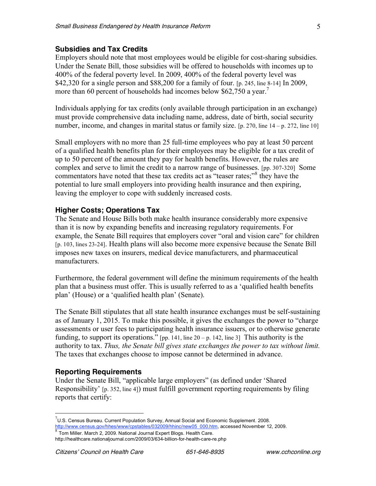#### **Subsidies and Tax Credits**

Employers should note that most employees would be eligible for cost-sharing subsidies. Under the Senate Bill, those subsidies will be offered to households with incomes up to 400% of the federal poverty level. In 2009, 400% of the federal poverty level was \$42,320 for a single person and \$88,200 for a family of four. [p. 245, line 8-14] In 2009, more than 60 percent of households had incomes below \$62,750 a year.<sup>7</sup>

Individuals applying for tax credits (only available through participation in an exchange) must provide comprehensive data including name, address, date of birth, social security number, income, and changes in marital status or family size.  $[p. 270]$ , line  $[14 - p. 272]$ , line 10]

Small employers with no more than 25 full-time employees who pay at least 50 percent of a qualified health benefits plan for their employees may be eligible for a tax credit of up to 50 percent of the amount they pay for health benefits. However, the rules are complex and serve to limit the credit to a narrow range of businesses. [pp. 307-320] Some commentators have noted that these tax credits act as "teaser rates:"<sup>8</sup> they have the potential to lure small employers into providing health insurance and then expiring, leaving the employer to cope with suddenly increased costs.

## **Higher Costs; Operations Tax**

The Senate and House Bills both make health insurance considerably more expensive than it is now by expanding benefits and increasing regulatory requirements. For example, the Senate Bill requires that employers cover "oral and vision care" for children [p. 103, lines 23-24]. Health plans will also become more expensive because the Senate Bill imposes new taxes on insurers, medical device manufacturers, and pharmaceutical manufacturers.

Furthermore, the federal government will define the minimum requirements of the health plan that a business must offer. This is usually referred to as a 'qualified health benefits plan' (House) or a 'qualified health plan' (Senate).

The Senate Bill stipulates that all state health insurance exchanges must be self-sustaining as of January 1, 2015. To make this possible, it gives the exchanges the power to "charge assessments or user fees to participating health insurance issuers, or to otherwise generate funding, to support its operations." [pp. 141, line  $20 - p$ . 142, line 3] This authority is the authority to tax. *Thus, the Senate bill gives state exchanges the power to tax without limit.* The taxes that exchanges choose to impose cannot be determined in advance.

## **Reporting Requirements**

Under the Senate Bill, "applicable large employers" (as defined under 'Shared Responsibility' [p. 352, line 4]) must fulfill government reporting requirements by filing reports that certify:

<sup>-&</sup>lt;br>7  $10^7$ U.S. Census Bureau. Current Population Survey, Annual Social and Economic Supplement. 2008. http://www.census.gov/hhes/www/cpstables/032009/hhinc/new05\_000.htm, accessed November 12, 2009. 8 Tom Miller. March 2, 2009. National Journal Expert Blogs. Health Care.

http://healthcare.nationaljournal.com/2009/03/634-billion-for-health-care-re.php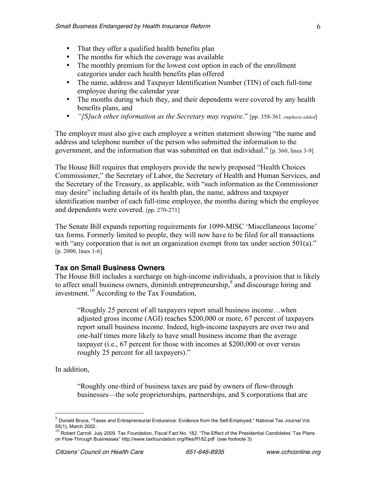- That they offer a qualified health benefits plan
- The months for which the coverage was available
- The monthly premium for the lowest cost option in each of the enrollment categories under each health benefits plan offered
- The name, address and Taxpayer Identification Number (TIN) of each full-time employee during the calendar year
- The months during which they, and their dependents were covered by any health benefits plans, and
- *"[S]uch other information as the Secretary may require*." [pp. 358-361*, emphasis added*]

The employer must also give each employee a written statement showing "the name and address and telephone number of the person who submitted the information to the government, and the information that was submitted on that individual." [p. 360, lines 3-9]

The House Bill requires that employers provide the newly proposed "Health Choices Commissioner," the Secretary of Labor, the Secretary of Health and Human Services, and the Secretary of the Treasury, as applicable, with "such information as the Commissioner may desire" including details of its health plan, the name, address and taxpayer identification number of each full-time employee, the months during which the employee and dependents were covered. [pp. 270-271]

The Senate Bill expands reporting requirements for 1099-MISC 'Miscellaneous Income' tax forms. Formerly limited to people, they will now have to be filed for all transactions with "any corporation that is not an organization exempt from tax under section 501(a)." [p. 2000, lines 1-6]

# **Tax on Small Business Owners**

The House Bill includes a surcharge on high-income individuals, a provision that is likely to affect small business owners, diminish entrepreneurship,  $\delta$  and discourage hiring and investment. <sup>10</sup> According to the Tax Foundation,

"Roughly 25 percent of all taxpayers report small business income…when adjusted gross income (AGI) reaches \$200,000 or more, 67 percent of taxpayers report small business income. Indeed, high-income taxpayers are over two and one-half times more likely to have small business income than the average taxpayer (i.e., 67 percent for those with incomes at \$200,000 or over versus roughly 25 percent for all taxpayers)."

In addition,

"Roughly one-third of business taxes are paid by owners of flow-through businesses—the sole proprietorships, partnerships, and S corporations that are

 $9$  Donald Bruce, "Taxes and Entrepreneurial Endurance: Evidence from the Self-Employed," National Tax Journal Vol.<br>55(1), March 2002.

 $^{10}$  Robert Carroll. July 2009. Tax Foundation, Fiscal Fact No. 182. "The Effect of the Presidential Candidates' Tax Plans on Flow-Through Businesses" http://www.taxfoundation.org/files/ff182.pdf (see footnote 3)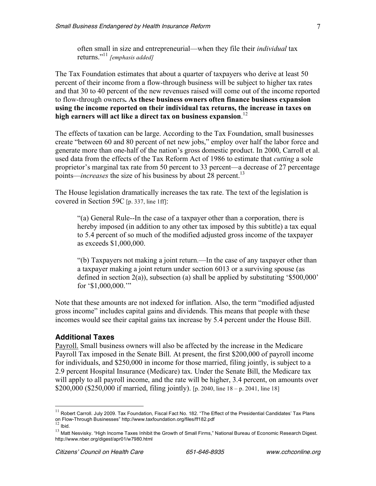often small in size and entrepreneurial—when they file their *individual* tax returns." <sup>11</sup> *[emphasis added]*

The Tax Foundation estimates that about a quarter of taxpayers who derive at least 50 percent of their income from a flow-through business will be subject to higher tax rates and that 30 to 40 percent of the new revenues raised will come out of the income reported to flow-through owners**. As these business owners often finance business expansion using the income reported on their individual tax returns, the increase in taxes on high earners will act like a direct tax on business expansion**. 12

The effects of taxation can be large. According to the Tax Foundation, small businesses create "between 60 and 80 percent of net new jobs," employ over half the labor force and generate more than one-half of the nation's gross domestic product. In 2000, Carroll et al. used data from the effects of the Tax Reform Act of 1986 to estimate that *cutting* a sole proprietor's marginal tax rate from 50 percent to 33 percent—a decrease of 27 percentage points—*increases* the size of his business by about 28 percent.<sup>13</sup>

The House legislation dramatically increases the tax rate. The text of the legislation is covered in Section 59C [p. 337, line 1ff]:

"(a) General Rule--In the case of a taxpayer other than a corporation, there is hereby imposed (in addition to any other tax imposed by this subtitle) a tax equal to 5.4 percent of so much of the modified adjusted gross income of the taxpayer as exceeds \$1,000,000.

"(b) Taxpayers not making a joint return.—In the case of any taxpayer other than a taxpayer making a joint return under section 6013 or a surviving spouse (as defined in section 2(a)), subsection (a) shall be applied by substituting '\$500,000' for '\$1,000,000.'"

Note that these amounts are not indexed for inflation. Also, the term "modified adjusted gross income" includes capital gains and dividends. This means that people with these incomes would see their capital gains tax increase by 5.4 percent under the House Bill.

#### **Additional Taxes**

Payroll. Small business owners will also be affected by the increase in the Medicare Payroll Tax imposed in the Senate Bill. At present, the first \$200,000 of payroll income for individuals, and \$250,000 in income for those married, filing jointly, is subject to a 2.9 percent Hospital Insurance (Medicare) tax. Under the Senate Bill, the Medicare tax will apply to all payroll income, and the rate will be higher, 3.4 percent, on amounts over \$200,000 (\$250,000 if married, filing jointly). [p. 2040, line 18 – p. 2041, line 18]

 $11$  Robert Carroll. July 2009. Tax Foundation, Fiscal Fact No. 182. "The Effect of the Presidential Candidates' Tax Plans on Flow-Through Businesses" http://www.taxfoundation.org/files/ff182.pdf<br><sup>12</sup> Ibid.

 $13$  Matt Nesvisky. "High Income Taxes Inhibit the Growth of Small Firms," National Bureau of Economic Research Digest. http://www.nber.org/digest/apr01/w7980.html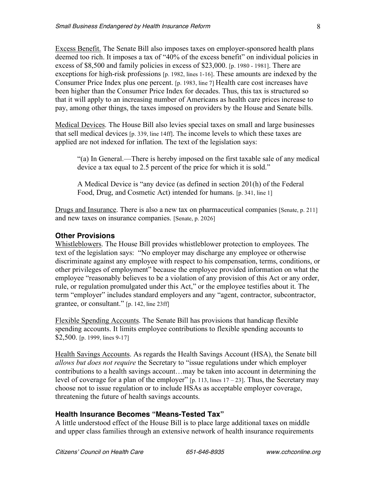Excess Benefit. The Senate Bill also imposes taxes on employer-sponsored health plans deemed too rich. It imposes a tax of "40% of the excess benefit" on individual policies in excess of \$8,500 and family policies in excess of \$23,000. [p. 1980 - 1981]. There are exceptions for high-risk professions [p. 1982, lines 1-16]. These amounts are indexed by the Consumer Price Index plus one percent. [p. 1983, line 7] Health care cost increases have been higher than the Consumer Price Index for decades. Thus, this tax is structured so that it will apply to an increasing number of Americans as health care prices increase to pay, among other things, the taxes imposed on providers by the House and Senate bills.

Medical Devices. The House Bill also levies special taxes on small and large businesses that sell medical devices [p. 339, line 14ff]. The income levels to which these taxes are applied are not indexed for inflation. The text of the legislation says:

"(a) In General.—There is hereby imposed on the first taxable sale of any medical device a tax equal to 2.5 percent of the price for which it is sold."

A Medical Device is "any device (as defined in section 201(h) of the Federal Food, Drug, and Cosmetic Act) intended for humans. [p. 341, line 1]

Drugs and Insurance. There is also a new tax on pharmaceutical companies [Senate, p. 211] and new taxes on insurance companies. [Senate, p. 2026]

# **Other Provisions**

Whistleblowers. The House Bill provides whistleblower protection to employees. The text of the legislation says: "No employer may discharge any employee or otherwise discriminate against any employee with respect to his compensation, terms, conditions, or other privileges of employment" because the employee provided information on what the employee "reasonably believes to be a violation of any provision of this Act or any order, rule, or regulation promulgated under this Act," or the employee testifies about it. The term "employer" includes standard employers and any "agent, contractor, subcontractor, grantee, or consultant." [p. 142, line 23ff]

Flexible Spending Accounts. The Senate Bill has provisions that handicap flexible spending accounts. It limits employee contributions to flexible spending accounts to \$2,500. [p. 1999, lines 9-17]

Health Savings Accounts. As regards the Health Savings Account (HSA), the Senate bill *allows but does not require* the Secretary to "issue regulations under which employer contributions to a health savings account…may be taken into account in determining the level of coverage for a plan of the employer" [p. 113, lines 17 – 23]. Thus, the Secretary may choose not to issue regulation or to include HSAs as acceptable employer coverage, threatening the future of health savings accounts.

# **Health Insurance Becomes "Means-Tested Tax"**

A little understood effect of the House Bill is to place large additional taxes on middle and upper class families through an extensive network of health insurance requirements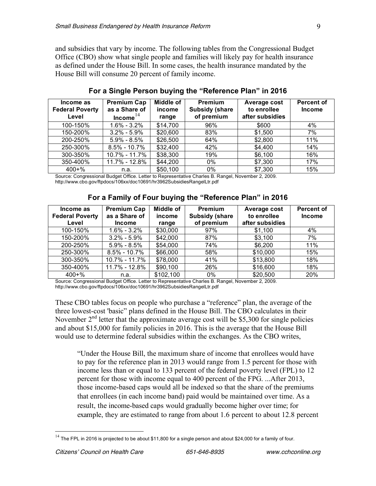and subsidies that vary by income. The following tables from the Congressional Budget Office (CBO) show what single people and families will likely pay for health insurance as defined under the House Bill. In some cases, the health insurance mandated by the House Bill will consume 20 percent of family income.

| Income as<br><b>Federal Poverty</b><br>Level | <b>Premium Cap</b><br>as a Share of<br>Income $^{14}$ | <b>Middle of</b><br>income<br>range | <b>Premium</b><br><b>Subsidy (share</b><br>of premium | Average cost<br>to enrollee<br>after subsidies | <b>Percent of</b><br><b>Income</b> |
|----------------------------------------------|-------------------------------------------------------|-------------------------------------|-------------------------------------------------------|------------------------------------------------|------------------------------------|
| 100-150%                                     | $1.6\% - 3.2\%$                                       | \$14,700                            | 96%                                                   | \$600                                          | 4%                                 |
| 150-200%                                     | $3.2\% - 5.9\%$                                       | \$20,600                            | 83%                                                   | \$1,500                                        | 7%                                 |
| 200-250%                                     | $5.9\% - 8.5\%$                                       | \$26,500                            | 64%                                                   | \$2,800                                        | 11%                                |
| 250-300%                                     | $8.5\% - 10.7\%$                                      | \$32,400                            | 42%                                                   | \$4,400                                        | 14%                                |
| 300-350%                                     | 10.7% - 11.7%                                         | \$38,300                            | 19%                                                   | \$6,100                                        | 16%                                |
| 350-400%                                     | 11.7% - 12.8%                                         | \$44,200                            | 0%                                                    | \$7,300                                        | 17%                                |
| $400 + \%$                                   | n.a.                                                  | \$50,100                            | 0%                                                    | \$7,300                                        | 15%                                |

# **For a Single Person buying the "Reference Plan" in 2016**

Source: Congressional Budget Office. Letter to Representative Charles B. Rangel, November 2, 2009. http://www.cbo.gov/ftpdocs/106xx/doc10691/hr3962SubsidiesRangelLtr.pdf

| Income as<br><b>Federal Poverty</b><br>Level | <b>Premium Cap</b><br>as a Share of<br><b>Income</b> | Middle of<br>income<br>range | <b>Premium</b><br><b>Subsidy (share</b><br>of premium | Average cost<br>to enrollee<br>after subsidies | <b>Percent of</b><br><b>Income</b> |
|----------------------------------------------|------------------------------------------------------|------------------------------|-------------------------------------------------------|------------------------------------------------|------------------------------------|
| 100-150%                                     | $1.6\% - 3.2\%$                                      | \$30,000                     | 97%                                                   | \$1,100                                        | 4%                                 |
| 150-200%                                     | $3.2\% - 5.9\%$                                      | \$42,000                     | 87%                                                   | \$3,100                                        | 7%                                 |
| 200-250%                                     | $5.9\% - 8.5\%$                                      | \$54,000                     | 74%                                                   | \$6,200                                        | 11%                                |
| 250-300%                                     | $8.5\% - 10.7\%$                                     | \$66,000                     | 58%                                                   | \$10,000                                       | 15%                                |
| 300-350%                                     | 10.7% - 11.7%                                        | \$78,000                     | 41%                                                   | \$13,800                                       | 18%                                |
| 350-400%                                     | 11.7% - 12.8%                                        | \$90,100                     | 26%                                                   | \$16,600                                       | 18%                                |
| $400 + \%$                                   | n.a.                                                 | \$102,100                    | 0%                                                    | \$20,500                                       | 20%                                |

## **For a Family of Four buying the "Reference Plan" in 2016**

Source: Congressional Budget Office. Letter to Representative Charles B. Rangel, November 2, 2009. http://www.cbo.gov/ftpdocs/106xx/doc10691/hr3962SubsidiesRangelLtr.pdf

These CBO tables focus on people who purchase a "reference" plan, the average of the three lowest-cost 'basic" plans defined in the House Bill. The CBO calculates in their November  $2<sup>nd</sup>$  letter that the approximate average cost will be \$5,300 for single policies and about \$15,000 for family policies in 2016. This is the average that the House Bill would use to determine federal subsidies within the exchanges. As the CBO writes,

"Under the House Bill, the maximum share of income that enrollees would have to pay for the reference plan in 2013 would range from 1.5 percent for those with income less than or equal to 133 percent of the federal poverty level (FPL) to 12 percent for those with income equal to 400 percent of the FPG. ...After 2013, those income-based caps would all be indexed so that the share of the premiums that enrollees (in each income band) paid would be maintained over time. As a result, the income-based caps would gradually become higher over time; for example, they are estimated to range from about 1.6 percent to about 12.8 percent

 $14$  The FPL in 2016 is projected to be about \$11,800 for a single person and about \$24,000 for a family of four.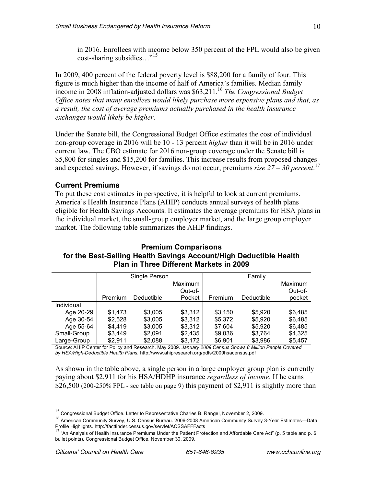in 2016. Enrollees with income below 350 percent of the FPL would also be given cost-sharing subsidies…"<sup>15</sup>

In 2009, 400 percent of the federal poverty level is \$88,200 for a family of four. This figure is much higher than the income of half of America's families. Median family income in 2008 inflation-adjusted dollars was \$63,211.16 *The Congressional Budget Office notes that many enrollees would likely purchase more expensive plans and that, as a result, the cost of average premiums actually purchased in the health insurance exchanges would likely be higher*.

Under the Senate bill, the Congressional Budget Office estimates the cost of individual non-group coverage in 2016 will be 10 - 13 percent *higher* than it will be in 2016 under current law. The CBO estimate for 2016 non-group coverage under the Senate bill is \$5,800 for singles and \$15,200 for families. This increase results from proposed changes and expected savings. However, if savings do not occur, premiums *rise 27 – 30 percent*. 17

## **Current Premiums**

To put these cost estimates in perspective, it is helpful to look at current premiums. America's Health Insurance Plans (AHIP) conducts annual surveys of health plans eligible for Health Savings Accounts. It estimates the average premiums for HSA plans in the individual market, the small-group employer market, and the large group employer market. The following table summarizes the AHIP findings.

# **Premium Comparisons for the Best-Selling Health Savings Account/High Deductible Health Plan in Three Different Markets in 2009**

|             | Single Person  |            |         | Family  |            |         |
|-------------|----------------|------------|---------|---------|------------|---------|
|             | <b>Maximum</b> |            |         |         | Maximum    |         |
|             |                |            | Out-of- |         |            | Out-of- |
|             | Premium        | Deductible | Pocket  | Premium | Deductible | pocket  |
| Individual  |                |            |         |         |            |         |
| Age 20-29   | \$1,473        | \$3,005    | \$3,312 | \$3.150 | \$5,920    | \$6,485 |
| Age 30-54   | \$2.528        | \$3,005    | \$3,312 | \$5.372 | \$5.920    | \$6,485 |
| Age 55-64   | \$4.419        | \$3,005    | \$3.312 | \$7,604 | \$5.920    | \$6,485 |
| Small-Group | \$3.449        | \$2.091    | \$2,435 | \$9,036 | \$3.764    | \$4.325 |
| Large-Group | \$2,911        | \$2,088    | \$3,172 | \$6,901 | \$3,986    | \$5,457 |

Source: AHIP Center for Policy and Research. May 2009. *January 2009 Census Shows 8 Million People Covered by HSA/High-Deductible Health Plans.* http://www.ahipresearch.org/pdfs/2009hsacensus.pdf

As shown in the table above, a single person in a large employer group plan is currently paying about \$2,911 for his HSA/HDHP insurance *regardless of income*. If he earns  $$26,500$  (200-250% FPL - see table on page 9) this payment of  $$2,911$  is slightly more than

 $15$  Congressional Budget Office. Letter to Representative Charles B. Rangel, November 2, 2009.

<sup>&</sup>lt;sup>16</sup> American Community Survey, U.S. Census Bureau. 2006-2008 American Community Survey 3-Year Estimates—Data<br>Profile Highlights. http://factfinder.census.gov/servlet/ACSSAFFFacts

<sup>&</sup>lt;sup>17</sup> "An Analysis of Health Insurance Premiums Under the Patient Protection and Affordable Care Act" (p. 5 table and p. 6 bullet points), Congressional Budget Office, November 30, 2009.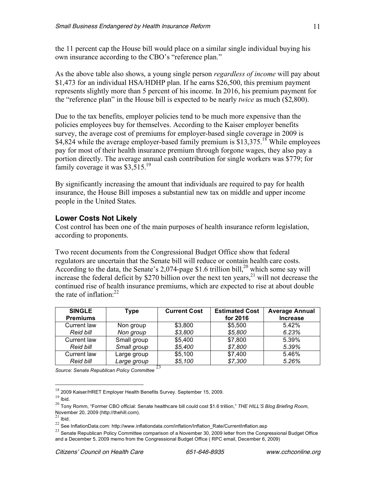the 11 percent cap the House bill would place on a similar single individual buying his own insurance according to the CBO's "reference plan."

As the above table also shows, a young single person *regardless of income* will pay about \$1,473 for an individual HSA/HDHP plan. If he earns \$26,500, this premium payment represents slightly more than 5 percent of his income. In 2016, his premium payment for the "reference plan" in the House bill is expected to be nearly *twice* as much (\$2,800).

Due to the tax benefits, employer policies tend to be much more expensive than the policies employees buy for themselves. According to the Kaiser employer benefits survey, the average cost of premiums for employer-based single coverage in 2009 is \$4,824 while the average employer-based family premium is  $$13.375$ <sup>18</sup> While employees pay for most of their health insurance premium through forgone wages, they also pay a portion directly. The average annual cash contribution for single workers was \$779; for family coverage it was \$3,515.<sup>19</sup>

By significantly increasing the amount that individuals are required to pay for health insurance, the House Bill imposes a substantial new tax on middle and upper income people in the United States.

## **Lower Costs Not Likely**

Cost control has been one of the main purposes of health insurance reform legislation, according to proponents.

Two recent documents from the Congressional Budget Office show that federal regulators are uncertain that the Senate bill will reduce or contain health care costs. According to the data, the Senate's 2,074-page \$1.6 trillion bill,<sup>20</sup> which some say will increase the federal deficit by \$270 billion over the next ten years, $^{21}$  will not decrease the continued rise of health insurance premiums, which are expected to rise at about double the rate of inflation:<sup>22</sup>

| <b>SINGLE</b><br><b>Premiums</b> | Type        | <b>Current Cost</b> | <b>Estimated Cost</b><br>for 2016 | <b>Average Annual</b><br><b>Increase</b> |
|----------------------------------|-------------|---------------------|-----------------------------------|------------------------------------------|
| Current law                      | Non group   | \$3,800             | \$5,500                           | 5.42%                                    |
| <b>Reid bill</b>                 | Non group   | \$3,800             | \$5,800                           | 6.23%                                    |
| Current law                      | Small group | \$5,400             | \$7,800                           | 5.39%                                    |
| <b>Reid bill</b>                 | Small group | \$5,400             | \$7,800                           | 5.39%                                    |
| Current law                      | Large group | \$5,100             | \$7,400                           | 5.46%                                    |
| Reid bill                        | Large group | \$5,100             | \$7,300                           | 5.26%                                    |

*Source: Senate Republican Policy Committee* <sup>23</sup>

 <sup>18</sup> <sup>2009</sup> Kaiser/HRET Employer Health Benefits Survey. September 15, 2009.

 $19$  Ibid.

<sup>20</sup> Tony Romm, "Former CBO official: Senate healthcare bill could cost \$1.6 trillion," *THE HILL'S Blog Briefing Room*, November 20, 2009 (http://thehill.com).<br><sup>21</sup> Ibid.

 $^{22}$  See InflationData.com: http://www.inflationdata.com/inflation/Inflation\_Rate/CurrentInflation.asp

 $^{23}$  Senate Republican Policy Committee comparison of a November 30, 2009 letter from the Congressional Budget Office and a December 5, 2009 memo from the Congressional Budget Office ( RPC email, December 6, 2009)